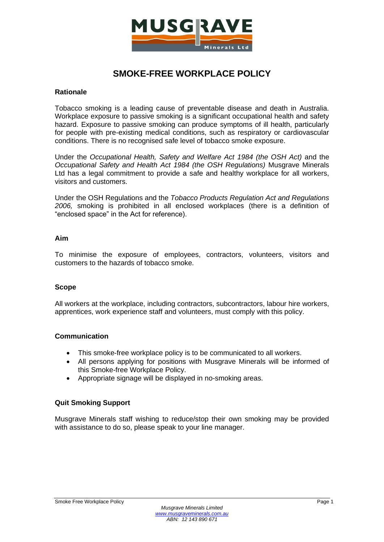

# **SMOKE-FREE WORKPLACE POLICY**

#### **Rationale**

Tobacco smoking is a leading cause of preventable disease and death in Australia. Workplace exposure to passive smoking is a significant occupational health and safety hazard. Exposure to passive smoking can produce symptoms of ill health, particularly for people with pre-existing medical conditions, such as respiratory or cardiovascular conditions. There is no recognised safe level of tobacco smoke exposure.

Under the *Occupational Health, Safety and Welfare Act 1984 (the OSH Act)* and the *Occupational Safety and Health Act 1984 (the OSH Regulations)* Musgrave Minerals Ltd has a legal commitment to provide a safe and healthy workplace for all workers, visitors and customers.

Under the OSH Regulations and the *Tobacco Products Regulation Act and Regulations 2006,* smoking is prohibited in all enclosed workplaces (there is a definition of "enclosed space" in the Act for reference).

### **Aim**

To minimise the exposure of employees, contractors, volunteers, visitors and customers to the hazards of tobacco smoke.

### **Scope**

All workers at the workplace, including contractors, subcontractors, labour hire workers, apprentices, work experience staff and volunteers, must comply with this policy.

### **Communication**

- This smoke-free workplace policy is to be communicated to all workers.
- All persons applying for positions with Musgrave Minerals will be informed of this Smoke-free Workplace Policy.
- Appropriate signage will be displayed in no-smoking areas.

### **Quit Smoking Support**

Musgrave Minerals staff wishing to reduce/stop their own smoking may be provided with assistance to do so, please speak to your line manager.